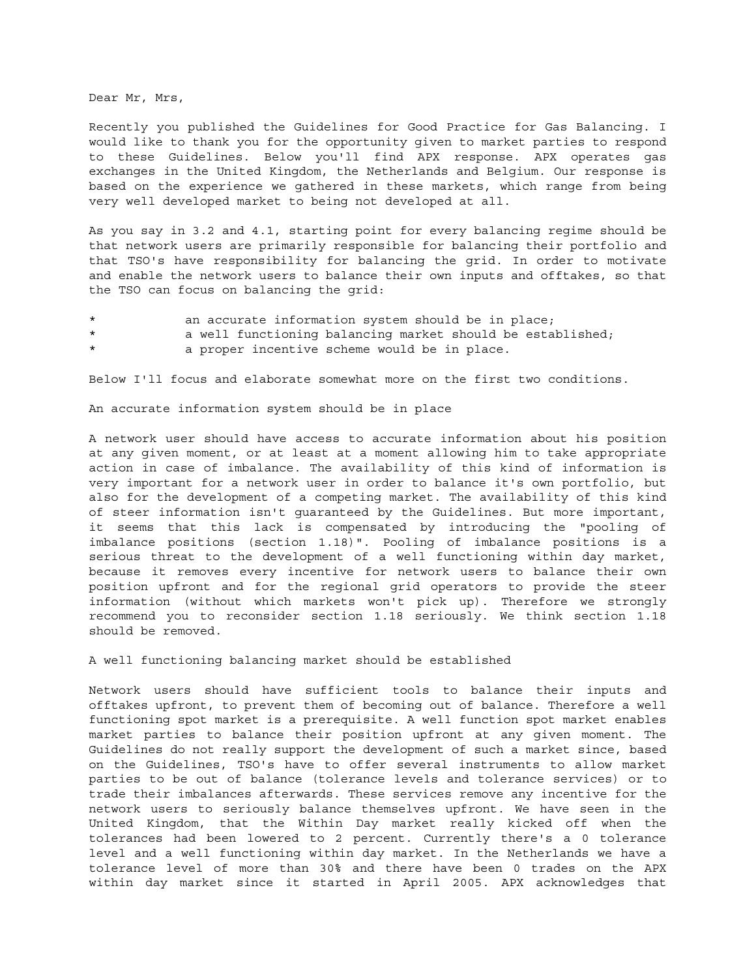Dear Mr, Mrs,

Recently you published the Guidelines for Good Practice for Gas Balancing. I would like to thank you for the opportunity given to market parties to respond to these Guidelines. Below you'll find APX response. APX operates gas exchanges in the United Kingdom, the Netherlands and Belgium. Our response is based on the experience we gathered in these markets, which range from being very well developed market to being not developed at all.

As you say in 3.2 and 4.1, starting point for every balancing regime should be that network users are primarily responsible for balancing their portfolio and that TSO's have responsibility for balancing the grid. In order to motivate and enable the network users to balance their own inputs and offtakes, so that the TSO can focus on balancing the grid:

- an accurate information system should be in place;
- \* a well functioning balancing market should be established;
- a proper incentive scheme would be in place.

Below I'll focus and elaborate somewhat more on the first two conditions.

An accurate information system should be in place

A network user should have access to accurate information about his position at any given moment, or at least at a moment allowing him to take appropriate action in case of imbalance. The availability of this kind of information is very important for a network user in order to balance it's own portfolio, but also for the development of a competing market. The availability of this kind of steer information isn't guaranteed by the Guidelines. But more important, it seems that this lack is compensated by introducing the "pooling of imbalance positions (section 1.18)". Pooling of imbalance positions is a serious threat to the development of a well functioning within day market, because it removes every incentive for network users to balance their own position upfront and for the regional grid operators to provide the steer information (without which markets won't pick up). Therefore we strongly recommend you to reconsider section 1.18 seriously. We think section 1.18 should be removed.

A well functioning balancing market should be established

Network users should have sufficient tools to balance their inputs and offtakes upfront, to prevent them of becoming out of balance. Therefore a well functioning spot market is a prerequisite. A well function spot market enables market parties to balance their position upfront at any given moment. The Guidelines do not really support the development of such a market since, based on the Guidelines, TSO's have to offer several instruments to allow market parties to be out of balance (tolerance levels and tolerance services) or to trade their imbalances afterwards. These services remove any incentive for the network users to seriously balance themselves upfront. We have seen in the United Kingdom, that the Within Day market really kicked off when the tolerances had been lowered to 2 percent. Currently there's a 0 tolerance level and a well functioning within day market. In the Netherlands we have a tolerance level of more than 30% and there have been 0 trades on the APX within day market since it started in April 2005. APX acknowledges that